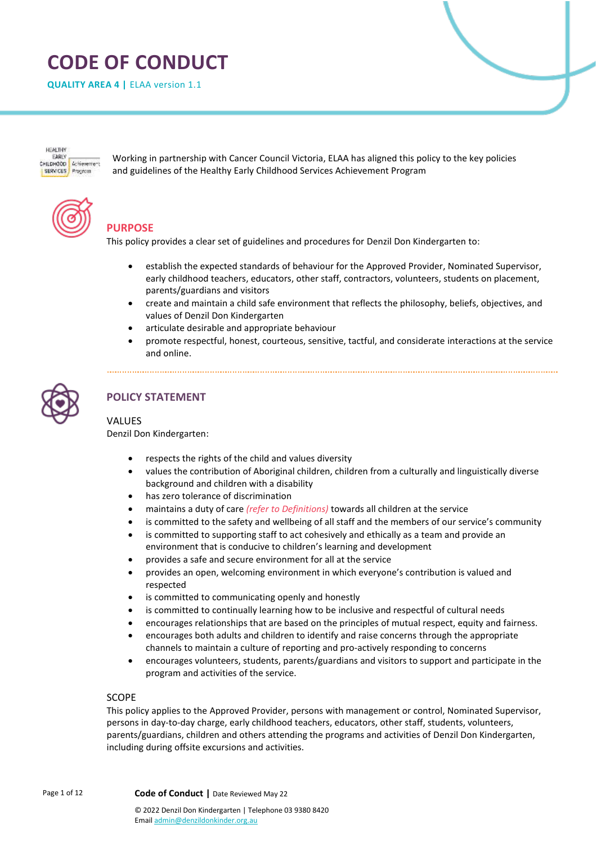# **CODE OF CONDUCT**

**QUALITY AREA 4 |** ELAA version 1.1

**HEALTHY** EARLY<br>CHILDHOOD Achievement SERVICES Program

Working in partnership with Cancer Council Victoria, ELAA has aligned this policy to the key policies and guidelines of the Healthy Early Childhood Services Achievement Program



# **PURPOSE**

This policy provides a clear set of guidelines and procedures for Denzil Don Kindergarten to:

- establish the expected standards of behaviour for the Approved Provider, Nominated Supervisor, early childhood teachers, educators, other staff, contractors, volunteers, students on placement, parents/guardians and visitors
- create and maintain a child safe environment that reflects the philosophy, beliefs, objectives, and values of Denzil Don Kindergarten
- articulate desirable and appropriate behaviour
- promote respectful, honest, courteous, sensitive, tactful, and considerate interactions at the service and online.



# **POLICY STATEMENT**

## VALUES

Denzil Don Kindergarten:

- respects the rights of the child and values diversity
- values the contribution of Aboriginal children, children from a culturally and linguistically diverse background and children with a disability
- has zero tolerance of discrimination
- maintains a duty of care *(refer to Definitions)* towards all children at the service
- is committed to the safety and wellbeing of all staff and the members of our service's community
- is committed to supporting staff to act cohesively and ethically as a team and provide an environment that is conducive to children's learning and development
- provides a safe and secure environment for all at the service
- provides an open, welcoming environment in which everyone's contribution is valued and respected
- is committed to communicating openly and honestly
- is committed to continually learning how to be inclusive and respectful of cultural needs
- encourages relationships that are based on the principles of mutual respect, equity and fairness.
- encourages both adults and children to identify and raise concerns through the appropriate channels to maintain a culture of reporting and pro-actively responding to concerns
- encourages volunteers, students, parents/guardians and visitors to support and participate in the program and activities of the service.

#### SCOPE

This policy applies to the Approved Provider, persons with management or control, Nominated Supervisor, persons in day-to-day charge, early childhood teachers, educators, other staff, students, volunteers, parents/guardians, children and others attending the programs and activities of Denzil Don Kindergarten, including during offsite excursions and activities.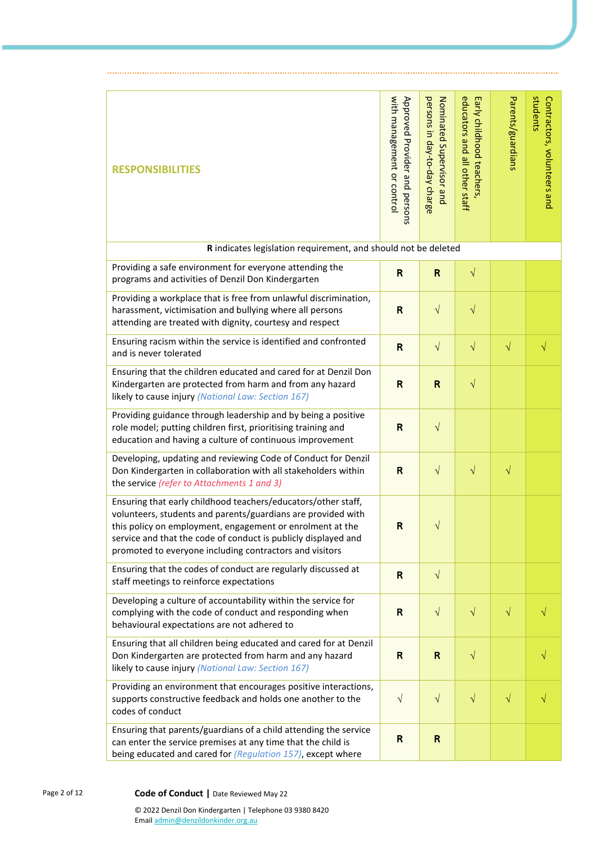| <b>RESPONSIBILITIES</b>                                                                                                                                                                                                                                                                                                 | with management or control<br>Approved Provider and persons | persons in day-to-day charge<br>Nominated Supervisor and | educators and all other staff<br>Early childhood teachers, | Parents/guardians | students<br>Contractors, volunteers and |
|-------------------------------------------------------------------------------------------------------------------------------------------------------------------------------------------------------------------------------------------------------------------------------------------------------------------------|-------------------------------------------------------------|----------------------------------------------------------|------------------------------------------------------------|-------------------|-----------------------------------------|
| R indicates legislation requirement, and should not be deleted                                                                                                                                                                                                                                                          |                                                             |                                                          |                                                            |                   |                                         |
| Providing a safe environment for everyone attending the<br>programs and activities of Denzil Don Kindergarten                                                                                                                                                                                                           | $\mathsf{R}$                                                | $\mathsf{R}$                                             | $\sqrt{}$                                                  |                   |                                         |
| Providing a workplace that is free from unlawful discrimination,<br>harassment, victimisation and bullying where all persons<br>attending are treated with dignity, courtesy and respect                                                                                                                                | $\mathsf{R}$                                                | $\sqrt{}$                                                | $\sqrt{}$                                                  |                   |                                         |
| Ensuring racism within the service is identified and confronted<br>and is never tolerated                                                                                                                                                                                                                               | $\mathsf{R}$                                                | $\sqrt{}$                                                | $\sqrt{}$                                                  | $\sqrt{}$         | $\sqrt{}$                               |
| Ensuring that the children educated and cared for at Denzil Don<br>Kindergarten are protected from harm and from any hazard<br>likely to cause injury (National Law: Section 167)                                                                                                                                       | $\mathsf{R}$                                                | $\mathsf{R}$                                             | $\sqrt{}$                                                  |                   |                                         |
| Providing guidance through leadership and by being a positive<br>role model; putting children first, prioritising training and<br>education and having a culture of continuous improvement                                                                                                                              | $\mathsf{R}$                                                | $\sqrt{}$                                                |                                                            |                   |                                         |
| Developing, updating and reviewing Code of Conduct for Denzil<br>Don Kindergarten in collaboration with all stakeholders within<br>the service (refer to Attachments 1 and 3)                                                                                                                                           | $\mathsf R$                                                 | $\sqrt{}$                                                | $\sqrt{}$                                                  | $\sqrt{}$         |                                         |
| Ensuring that early childhood teachers/educators/other staff,<br>volunteers, students and parents/guardians are provided with<br>this policy on employment, engagement or enrolment at the<br>service and that the code of conduct is publicly displayed and<br>promoted to everyone including contractors and visitors | $\mathsf{R}$                                                | $\sqrt{}$                                                |                                                            |                   |                                         |
| Ensuring that the codes of conduct are regularly discussed at<br>staff meetings to reinforce expectations                                                                                                                                                                                                               | $\mathbf R$                                                 | $\sqrt{ }$                                               |                                                            |                   |                                         |
| Developing a culture of accountability within the service for<br>complying with the code of conduct and responding when<br>behavioural expectations are not adhered to                                                                                                                                                  | $\mathsf{R}$                                                | $\sqrt{ }$                                               | $\sqrt{}$                                                  | $\sqrt{}$         |                                         |
| Ensuring that all children being educated and cared for at Denzil<br>Don Kindergarten are protected from harm and any hazard<br>likely to cause injury (National Law: Section 167)                                                                                                                                      | $\mathsf{R}$                                                | R                                                        | $\sqrt{}$                                                  |                   |                                         |
| Providing an environment that encourages positive interactions,<br>supports constructive feedback and holds one another to the<br>codes of conduct                                                                                                                                                                      | $\sqrt{ }$                                                  | $\sqrt{}$                                                | $\sqrt{}$                                                  | $\sqrt{}$         | V                                       |
| Ensuring that parents/guardians of a child attending the service<br>can enter the service premises at any time that the child is<br>being educated and cared for (Regulation 157), except where                                                                                                                         | $\mathsf{R}$                                                | R                                                        |                                                            |                   |                                         |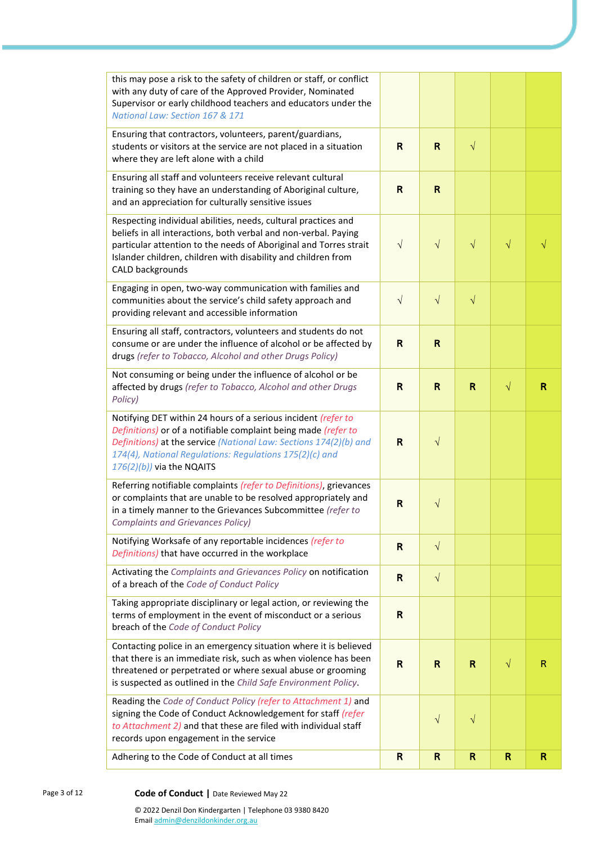| this may pose a risk to the safety of children or staff, or conflict<br>with any duty of care of the Approved Provider, Nominated<br>Supervisor or early childhood teachers and educators under the<br>National Law: Section 167 & 171                                                          |              |              |              |           |   |
|-------------------------------------------------------------------------------------------------------------------------------------------------------------------------------------------------------------------------------------------------------------------------------------------------|--------------|--------------|--------------|-----------|---|
| Ensuring that contractors, volunteers, parent/guardians,<br>students or visitors at the service are not placed in a situation<br>where they are left alone with a child                                                                                                                         | $\mathsf{R}$ | $\mathsf R$  | $\sqrt{}$    |           |   |
| Ensuring all staff and volunteers receive relevant cultural<br>training so they have an understanding of Aboriginal culture,<br>and an appreciation for culturally sensitive issues                                                                                                             | R            | $\mathbf R$  |              |           |   |
| Respecting individual abilities, needs, cultural practices and<br>beliefs in all interactions, both verbal and non-verbal. Paying<br>particular attention to the needs of Aboriginal and Torres strait<br>Islander children, children with disability and children from<br>CALD backgrounds     | $\sqrt{}$    | $\sqrt{}$    | $\sqrt{}$    | $\sqrt{}$ |   |
| Engaging in open, two-way communication with families and<br>communities about the service's child safety approach and<br>providing relevant and accessible information                                                                                                                         | $\sqrt{ }$   | $\sqrt{}$    | $\sqrt{}$    |           |   |
| Ensuring all staff, contractors, volunteers and students do not<br>consume or are under the influence of alcohol or be affected by<br>drugs (refer to Tobacco, Alcohol and other Drugs Policy)                                                                                                  | R            | $\mathsf R$  |              |           |   |
| Not consuming or being under the influence of alcohol or be<br>affected by drugs (refer to Tobacco, Alcohol and other Drugs<br>Policy)                                                                                                                                                          | $\mathsf R$  | $\mathsf{R}$ | R            | $\sqrt{}$ | R |
| Notifying DET within 24 hours of a serious incident (refer to<br>Definitions) or of a notifiable complaint being made (refer to<br>Definitions) at the service (National Law: Sections 174(2)(b) and<br>174(4), National Regulations: Regulations 175(2)(c) and<br>$176(2)(b)$ ) via the NQAITS | R            | $\sqrt{}$    |              |           |   |
| Referring notifiable complaints (refer to Definitions), grievances<br>or complaints that are unable to be resolved appropriately and<br>in a timely manner to the Grievances Subcommittee (refer to<br><b>Complaints and Grievances Policy)</b>                                                 | R            | $\sqrt{}$    |              |           |   |
| Notifying Worksafe of any reportable incidences (refer to<br>Definitions) that have occurred in the workplace                                                                                                                                                                                   | R            | $\sqrt{}$    |              |           |   |
| Activating the Complaints and Grievances Policy on notification<br>of a breach of the Code of Conduct Policy                                                                                                                                                                                    | $\mathsf{R}$ | $\sqrt{}$    |              |           |   |
| Taking appropriate disciplinary or legal action, or reviewing the<br>terms of employment in the event of misconduct or a serious<br>breach of the Code of Conduct Policy                                                                                                                        | $\mathsf{R}$ |              |              |           |   |
| Contacting police in an emergency situation where it is believed<br>that there is an immediate risk, such as when violence has been<br>threatened or perpetrated or where sexual abuse or grooming<br>is suspected as outlined in the Child Safe Environment Policy.                            | $\mathsf R$  | R            | $\mathsf{R}$ | $\sqrt{}$ | R |
| Reading the Code of Conduct Policy (refer to Attachment 1) and<br>signing the Code of Conduct Acknowledgement for staff (refer<br>to Attachment 2) and that these are filed with individual staff<br>records upon engagement in the service                                                     |              | $\sqrt{}$    | $\sqrt{}$    |           |   |
| Adhering to the Code of Conduct at all times                                                                                                                                                                                                                                                    | $\mathsf{R}$ | $\mathsf{R}$ | $\mathsf{R}$ | R         | R |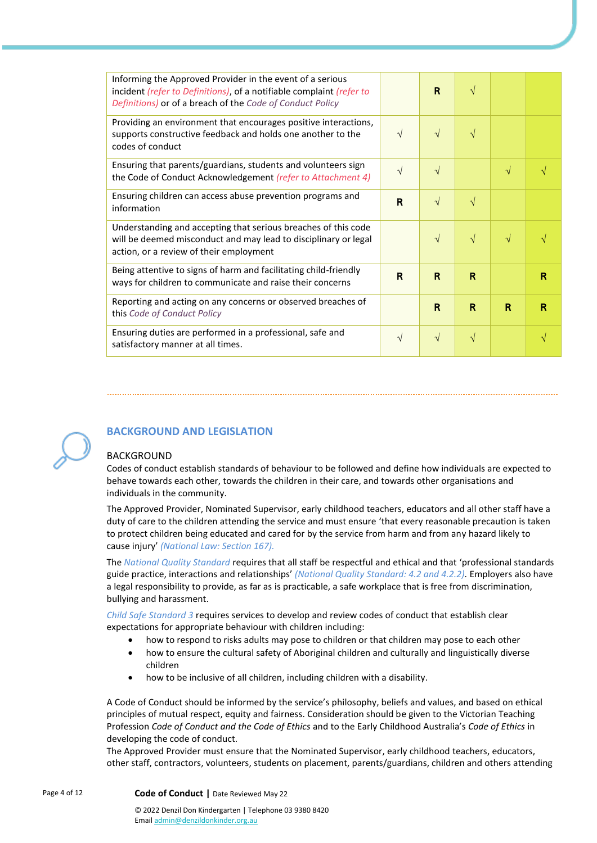| Informing the Approved Provider in the event of a serious<br>incident (refer to Definitions), of a notifiable complaint (refer to<br>Definitions) or of a breach of the Code of Conduct Policy |            | R            | $\sqrt{}$    |            |              |
|------------------------------------------------------------------------------------------------------------------------------------------------------------------------------------------------|------------|--------------|--------------|------------|--------------|
| Providing an environment that encourages positive interactions,<br>supports constructive feedback and holds one another to the<br>codes of conduct                                             | $\sqrt{ }$ | $\sqrt{ }$   | $\sqrt{}$    |            |              |
| Ensuring that parents/guardians, students and volunteers sign<br>the Code of Conduct Acknowledgement (refer to Attachment 4)                                                                   | $\sqrt{}$  | $\sqrt{}$    |              | $\sqrt{ }$ |              |
| Ensuring children can access abuse prevention programs and<br>information                                                                                                                      | R          | $\sqrt{}$    | $\sqrt{}$    |            |              |
| Understanding and accepting that serious breaches of this code<br>will be deemed misconduct and may lead to disciplinary or legal<br>action, or a review of their employment                   |            | $\sqrt{}$    | $\sqrt{}$    | V          |              |
| Being attentive to signs of harm and facilitating child-friendly<br>ways for children to communicate and raise their concerns                                                                  | R          | R            | R            |            | R            |
| Reporting and acting on any concerns or observed breaches of<br>this Code of Conduct Policy                                                                                                    |            | $\mathsf{R}$ | $\mathsf{R}$ | R          | $\mathbb{R}$ |
| Ensuring duties are performed in a professional, safe and<br>satisfactory manner at all times.                                                                                                 | V          | $\sqrt{}$    | V            |            |              |



## **BACKGROUND AND LEGISLATION**

#### BACKGROUND

Codes of conduct establish standards of behaviour to be followed and define how individuals are expected to behave towards each other, towards the children in their care, and towards other organisations and individuals in the community.

The Approved Provider, Nominated Supervisor, early childhood teachers, educators and all other staff have a duty of care to the children attending the service and must ensure 'that every reasonable precaution is taken to protect children being educated and cared for by the service from harm and from any hazard likely to cause injury' *(National Law: Section 167).*

The *National Quality Standard* requires that all staff be respectful and ethical and that 'professional standards guide practice, interactions and relationships' *(National Quality Standard: 4.2 and 4.2.2).* Employers also have a legal responsibility to provide, as far as is practicable, a safe workplace that is free from discrimination, bullying and harassment.

*Child Safe Standard 3* requires services to develop and review codes of conduct that establish clear expectations for appropriate behaviour with children including:

- how to respond to risks adults may pose to children or that children may pose to each other
- how to ensure the cultural safety of Aboriginal children and culturally and linguistically diverse children
- how to be inclusive of all children, including children with a disability.

A Code of Conduct should be informed by the service's philosophy, beliefs and values, and based on ethical principles of mutual respect, equity and fairness. Consideration should be given to the Victorian Teaching Profession *Code of Conduct and the Code of Ethics* and to the Early Childhood Australia's *Code of Ethics* in developing the code of conduct.

The Approved Provider must ensure that the Nominated Supervisor, early childhood teachers, educators, other staff, contractors, volunteers, students on placement, parents/guardians, children and others attending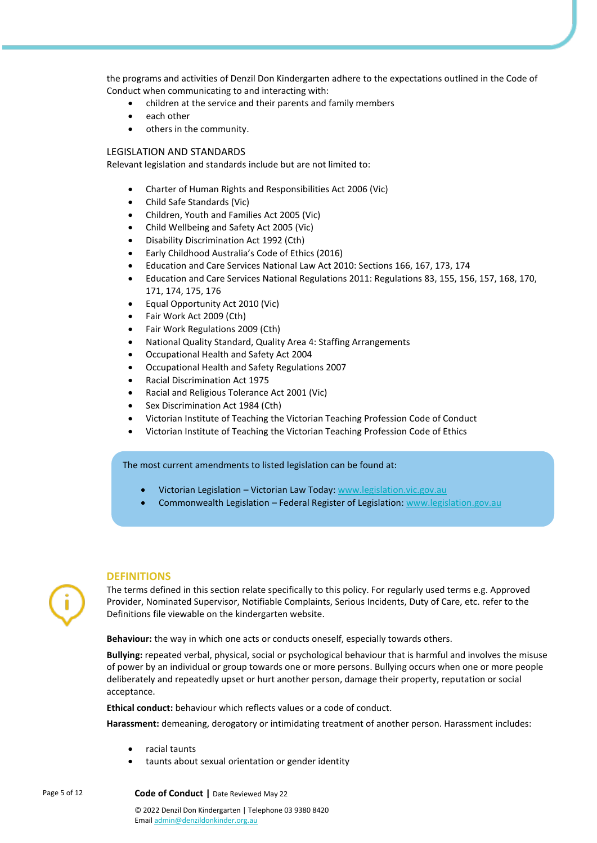the programs and activities of Denzil Don Kindergarten adhere to the expectations outlined in the Code of Conduct when communicating to and interacting with:

- children at the service and their parents and family members
- each other
- others in the community.

#### LEGISLATION AND STANDARDS

Relevant legislation and standards include but are not limited to:

- Charter of Human Rights and Responsibilities Act 2006 (Vic)
- Child Safe Standards (Vic)
- Children, Youth and Families Act 2005 (Vic)
- Child Wellbeing and Safety Act 2005 (Vic)
- Disability Discrimination Act 1992 (Cth)
- Early Childhood Australia's Code of Ethics (2016)
- Education and Care Services National Law Act 2010: Sections 166, 167, 173, 174
- Education and Care Services National Regulations 2011: Regulations 83, 155, 156, 157, 168, 170, 171, 174, 175, 176
- Equal Opportunity Act 2010 (Vic)
- Fair Work Act 2009 (Cth)
- Fair Work Regulations 2009 (Cth)
- National Quality Standard, Quality Area 4: Staffing Arrangements
- Occupational Health and Safety Act 2004
- Occupational Health and Safety Regulations 2007
- Racial Discrimination Act 1975
- Racial and Religious Tolerance Act 2001 (Vic)
- Sex Discrimination Act 1984 (Cth)
- Victorian Institute of Teaching the Victorian Teaching Profession Code of Conduct
- Victorian Institute of Teaching the Victorian Teaching Profession Code of Ethics

The most current amendments to listed legislation can be found at:

- Victorian Legislation Victorian Law Today: [www.legislation.vic.gov.au](http://www.legislation.vic.gov.au/)
- Commonwealth Legislation Federal Register of Legislation: [www.legislation.gov.au](http://www.legislation.gov.au/)

#### **DEFINITIONS**

The terms defined in this section relate specifically to this policy. For regularly used terms e.g. Approved Provider, Nominated Supervisor, Notifiable Complaints, Serious Incidents, Duty of Care, etc. refer to the Definitions file viewable on the kindergarten website.

**Behaviour:** the way in which one acts or conducts oneself, especially towards others.

**Bullying:** repeated verbal, physical, social or psychological behaviour that is harmful and involves the misuse of power by an individual or group towards one or more persons. Bullying occurs when one or more people deliberately and repeatedly upset or hurt another person, damage their property, reputation or social acceptance.

**Ethical conduct:** behaviour which reflects values or a code of conduct.

**Harassment:** demeaning, derogatory or intimidating treatment of another person. Harassment includes:

- racial taunts
- taunts about sexual orientation or gender identity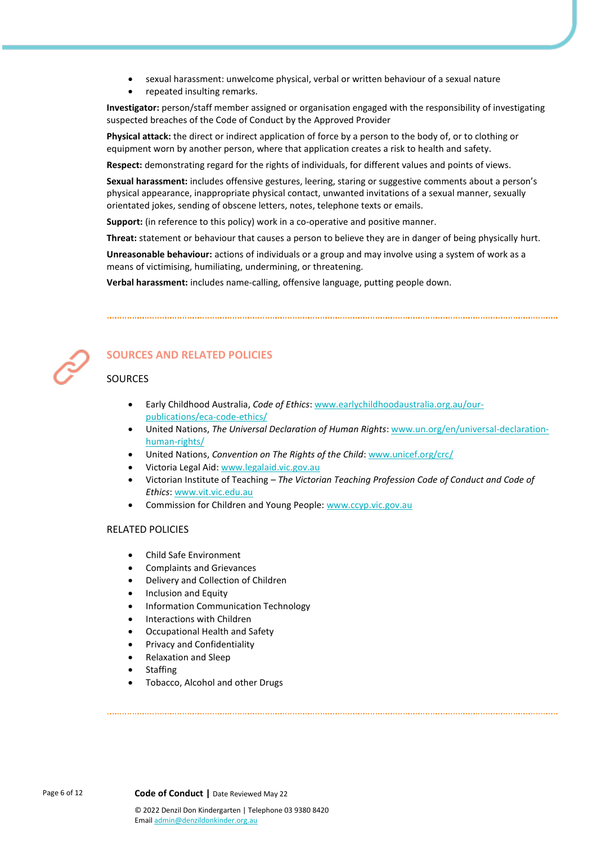- sexual harassment: unwelcome physical, verbal or written behaviour of a sexual nature
- repeated insulting remarks.

**Investigator:** person/staff member assigned or organisation engaged with the responsibility of investigating suspected breaches of the Code of Conduct by the Approved Provider

**Physical attack:** the direct or indirect application of force by a person to the body of, or to clothing or equipment worn by another person, where that application creates a risk to health and safety.

**Respect:** demonstrating regard for the rights of individuals, for different values and points of views.

**Sexual harassment:** includes offensive gestures, leering, staring or suggestive comments about a person's physical appearance, inappropriate physical contact, unwanted invitations of a sexual manner, sexually orientated jokes, sending of obscene letters, notes, telephone texts or emails.

**Support:** (in reference to this policy) work in a co-operative and positive manner.

**Threat:** statement or behaviour that causes a person to believe they are in danger of being physically hurt.

**Unreasonable behaviour:** actions of individuals or a group and may involve using a system of work as a means of victimising, humiliating, undermining, or threatening.

**Verbal harassment:** includes name-calling, offensive language, putting people down.



# **SOURCES AND RELATED POLICIES**

## **SOURCES**

- Early Childhood Australia, *Code of Ethics*: [www.earlychildhoodaustralia.org.au/our](http://www.earlychildhoodaustralia.org.au/our-publications/eca-code-ethics/)[publications/eca-code-ethics/](http://www.earlychildhoodaustralia.org.au/our-publications/eca-code-ethics/)
- United Nations, *The Universal Declaration of Human Rights*[: www.un.org/en/universal-declaration](http://www.un.org/en/universal-declaration-human-rights/)[human-rights/](http://www.un.org/en/universal-declaration-human-rights/)
- United Nations, *Convention on The Rights of the Child*[: www.unicef.org/crc/](http://www.unicef.org/crc/)
- Victoria Legal Aid[: www.legalaid.vic.gov.au](http://www.legalaid.vic.gov.au/)
- Victorian Institute of Teaching *The Victorian Teaching Profession Code of Conduct and Code of Ethics*: [www.vit.vic.edu.au](http://www.vit.vic.edu.au/)
- Commission for Children and Young People: [www.ccyp.vic.gov.au](http://www.ccyp.vic.gov.au/)

#### RELATED POLICIES

- Child Safe Environment
- Complaints and Grievances
- Delivery and Collection of Children
- Inclusion and Equity
- Information Communication Technology
- Interactions with Children
- Occupational Health and Safety
- Privacy and Confidentiality
- Relaxation and Sleep
- **Staffing**
- Tobacco, Alcohol and other Drugs

Page 6 of 12 **Code of Conduct |** Date Reviewed May 22 © 2022 Denzil Don Kindergarten | Telephone 03 9380 8420

Emai[l admin@denzildonkinder.org.au](mailto:membersolutions@elaa.org.au)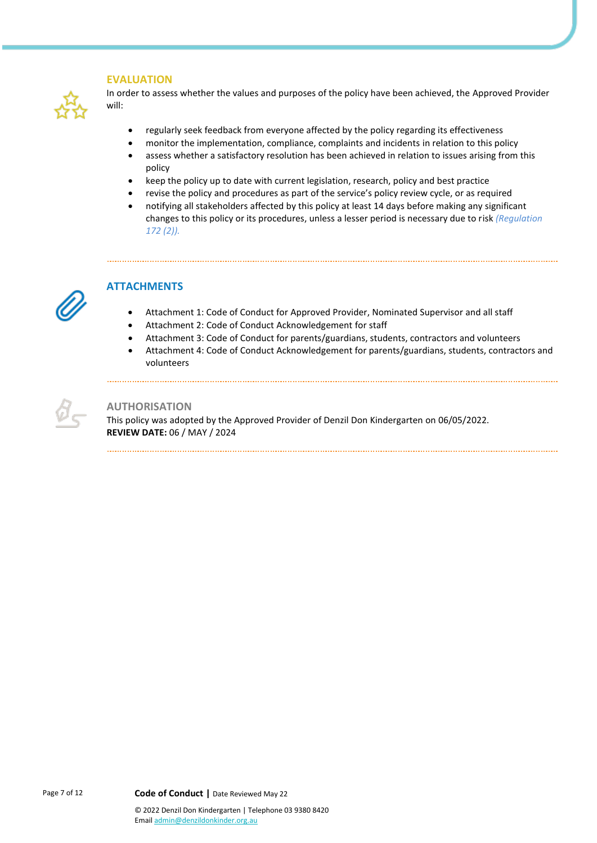## **EVALUATION**



In order to assess whether the values and purposes of the policy have been achieved, the Approved Provider will:

- regularly seek feedback from everyone affected by the policy regarding its effectiveness
- monitor the implementation, compliance, complaints and incidents in relation to this policy
- assess whether a satisfactory resolution has been achieved in relation to issues arising from this policy
- keep the policy up to date with current legislation, research, policy and best practice
- revise the policy and procedures as part of the service's policy review cycle, or as required
- notifying all stakeholders affected by this policy at least 14 days before making any significant changes to this policy or its procedures, unless a lesser period is necessary due to risk *(Regulation 172 (2)).*



## **ATTACHMENTS**

- Attachment 1: Code of Conduct for Approved Provider, Nominated Supervisor and all staff
- Attachment 2: Code of Conduct Acknowledgement for staff
- Attachment 3: Code of Conduct for parents/guardians, students, contractors and volunteers
- Attachment 4: Code of Conduct Acknowledgement for parents/guardians, students, contractors and volunteers

#### **AUTHORISATION**

This policy was adopted by the Approved Provider of Denzil Don Kindergarten on 06/05/2022. **REVIEW DATE:** 06 / MAY / 2024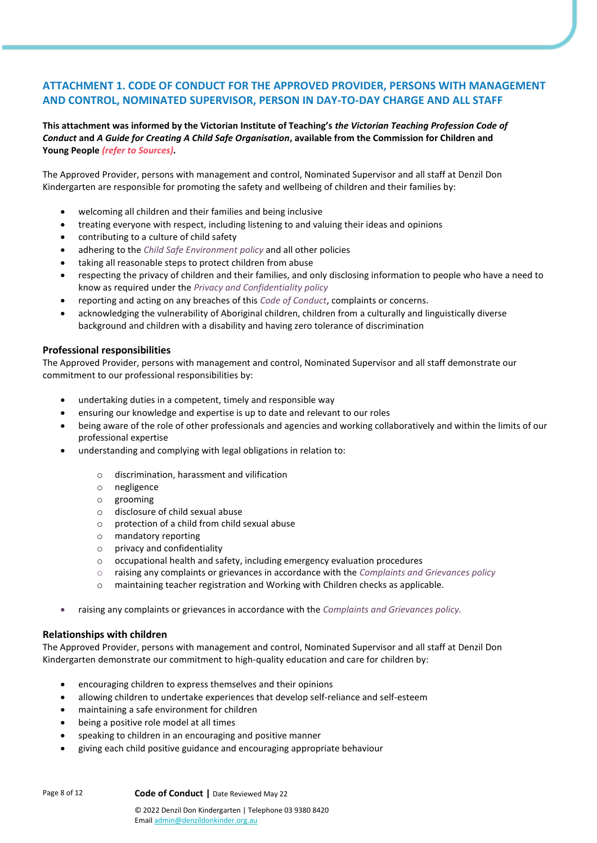# **ATTACHMENT 1. CODE OF CONDUCT FOR THE APPROVED PROVIDER, PERSONS WITH MANAGEMENT AND CONTROL, NOMINATED SUPERVISOR, PERSON IN DAY-TO-DAY CHARGE AND ALL STAFF**

**This attachment was informed by the Victorian Institute of Teaching's** *the Victorian Teaching Profession Code of Conduct* **and** *A Guide for Creating A Child Safe Organisation***, available from the Commission for Children and Young People** *(refer to Sources).*

The Approved Provider, persons with management and control, Nominated Supervisor and all staff at Denzil Don Kindergarten are responsible for promoting the safety and wellbeing of children and their families by:

- welcoming all children and their families and being inclusive
- treating everyone with respect, including listening to and valuing their ideas and opinions
- contributing to a culture of child safety
- adhering to the *Child Safe Environment policy* and all other policies
- taking all reasonable steps to protect children from abuse
- respecting the privacy of children and their families, and only disclosing information to people who have a need to know as required under the *Privacy and Confidentiality policy*
- reporting and acting on any breaches of this *Code of Conduct*, complaints or concerns.
- acknowledging the vulnerability of Aboriginal children, children from a culturally and linguistically diverse background and children with a disability and having zero tolerance of discrimination

#### **Professional responsibilities**

The Approved Provider, persons with management and control, Nominated Supervisor and all staff demonstrate our commitment to our professional responsibilities by:

- undertaking duties in a competent, timely and responsible way
- ensuring our knowledge and expertise is up to date and relevant to our roles
- being aware of the role of other professionals and agencies and working collaboratively and within the limits of our professional expertise
- understanding and complying with legal obligations in relation to:
	- o discrimination, harassment and vilification
	- o negligence
	- o grooming
	- o disclosure of child sexual abuse
	- o protection of a child from child sexual abuse
	- o mandatory reporting
	- o privacy and confidentiality
	- o occupational health and safety, including emergency evaluation procedures
	- o raising any complaints or grievances in accordance with the *Complaints and Grievances policy*
	- o maintaining teacher registration and Working with Children checks as applicable.
- raising any complaints or grievances in accordance with the *Complaints and Grievances policy.*

#### **Relationships with children**

The Approved Provider, persons with management and control, Nominated Supervisor and all staff at Denzil Don Kindergarten demonstrate our commitment to high-quality education and care for children by:

- encouraging children to express themselves and their opinions
- allowing children to undertake experiences that develop self-reliance and self-esteem
- maintaining a safe environment for children
- being a positive role model at all times
- speaking to children in an encouraging and positive manner
- giving each child positive guidance and encouraging appropriate behaviour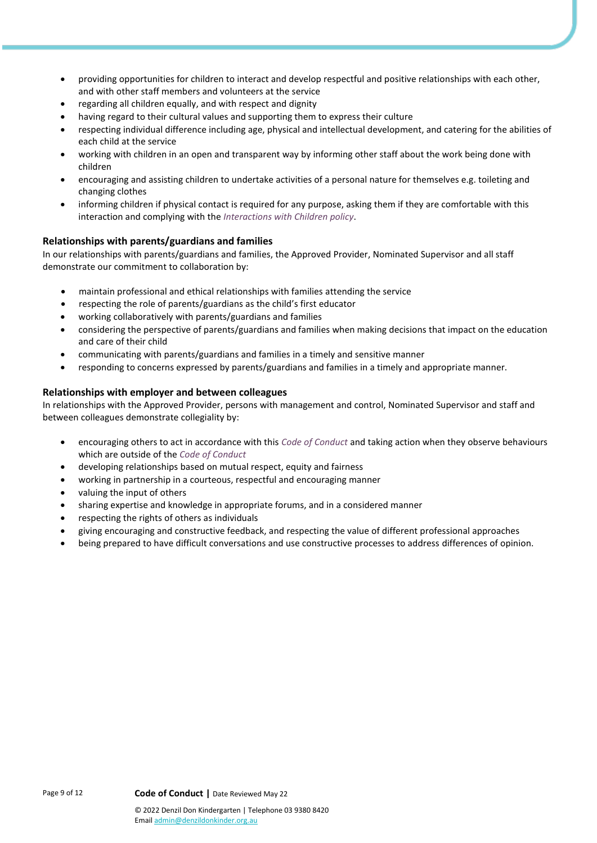- providing opportunities for children to interact and develop respectful and positive relationships with each other, and with other staff members and volunteers at the service
- regarding all children equally, and with respect and dignity
- having regard to their cultural values and supporting them to express their culture
- respecting individual difference including age, physical and intellectual development, and catering for the abilities of each child at the service
- working with children in an open and transparent way by informing other staff about the work being done with children
- encouraging and assisting children to undertake activities of a personal nature for themselves e.g. toileting and changing clothes
- informing children if physical contact is required for any purpose, asking them if they are comfortable with this interaction and complying with the *Interactions with Children policy*.

## **Relationships with parents/guardians and families**

In our relationships with parents/guardians and families, the Approved Provider, Nominated Supervisor and all staff demonstrate our commitment to collaboration by:

- maintain professional and ethical relationships with families attending the service
- respecting the role of parents/guardians as the child's first educator
- working collaboratively with parents/guardians and families
- considering the perspective of parents/guardians and families when making decisions that impact on the education and care of their child
- communicating with parents/guardians and families in a timely and sensitive manner
- responding to concerns expressed by parents/guardians and families in a timely and appropriate manner.

## **Relationships with employer and between colleagues**

In relationships with the Approved Provider, persons with management and control, Nominated Supervisor and staff and between colleagues demonstrate collegiality by:

- encouraging others to act in accordance with this *Code of Conduct* and taking action when they observe behaviours which are outside of the *Code of Conduct*
- developing relationships based on mutual respect, equity and fairness
- working in partnership in a courteous, respectful and encouraging manner
- valuing the input of others
- sharing expertise and knowledge in appropriate forums, and in a considered manner
- respecting the rights of others as individuals
- giving encouraging and constructive feedback, and respecting the value of different professional approaches
- being prepared to have difficult conversations and use constructive processes to address differences of opinion.

Emai[l admin@denzildonkinder.org.au](mailto:membersolutions@elaa.org.au)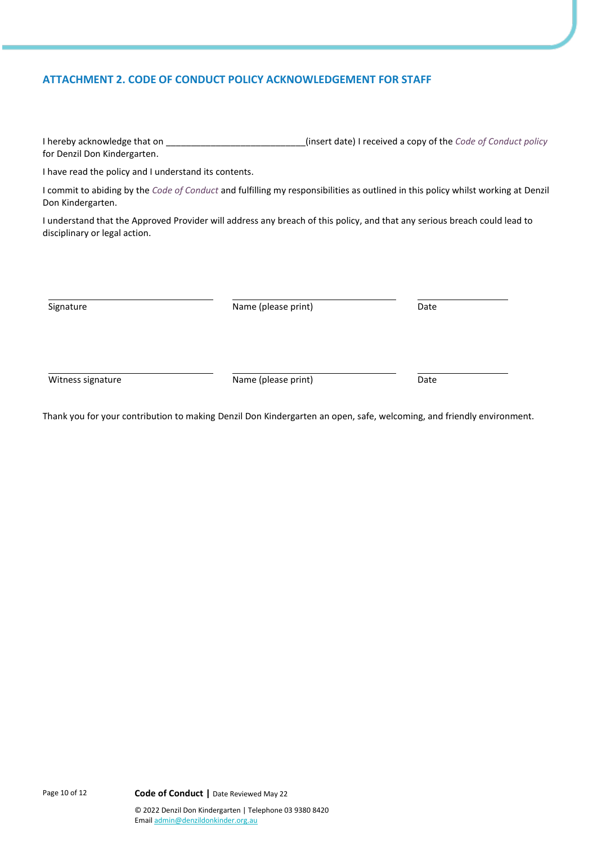## **ATTACHMENT 2. CODE OF CONDUCT POLICY ACKNOWLEDGEMENT FOR STAFF**

| I hereby acknowledge that on | (insert date) I received a copy of the Code of Conduct policy |
|------------------------------|---------------------------------------------------------------|
| for Denzil Don Kindergarten. |                                                               |

I have read the policy and I understand its contents.

I commit to abiding by the *Code of Conduct* and fulfilling my responsibilities as outlined in this policy whilst working at Denzil Don Kindergarten.

I understand that the Approved Provider will address any breach of this policy, and that any serious breach could lead to disciplinary or legal action.

Signature **Name** (please print) Date

Witness signature and the Name (please print) and the Date of Date of Date and Date of Date of Date of Date of Date of Date of Date of Date of Date of Date of Date of Date of Date of Date of Date of Date of Date of Date of

Thank you for your contribution to making Denzil Don Kindergarten an open, safe, welcoming, and friendly environment.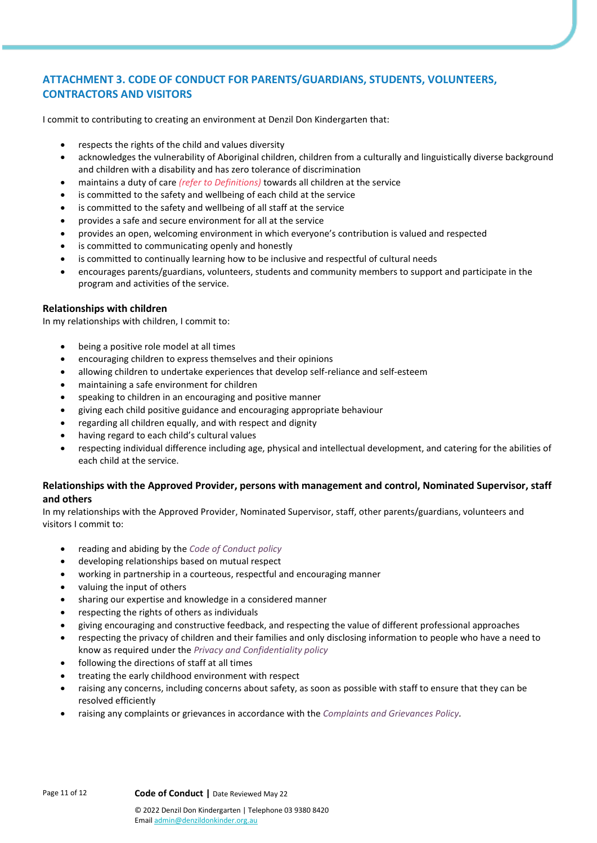# **ATTACHMENT 3. CODE OF CONDUCT FOR PARENTS/GUARDIANS, STUDENTS, VOLUNTEERS, CONTRACTORS AND VISITORS**

I commit to contributing to creating an environment at Denzil Don Kindergarten that:

- respects the rights of the child and values diversity
- acknowledges the vulnerability of Aboriginal children, children from a culturally and linguistically diverse background and children with a disability and has zero tolerance of discrimination
- maintains a duty of care *(refer to Definitions)* towards all children at the service
- is committed to the safety and wellbeing of each child at the service
- is committed to the safety and wellbeing of all staff at the service
- provides a safe and secure environment for all at the service
- provides an open, welcoming environment in which everyone's contribution is valued and respected
- is committed to communicating openly and honestly
- is committed to continually learning how to be inclusive and respectful of cultural needs
- encourages parents/guardians, volunteers, students and community members to support and participate in the program and activities of the service.

## **Relationships with children**

In my relationships with children, I commit to:

- being a positive role model at all times
- encouraging children to express themselves and their opinions
- allowing children to undertake experiences that develop self-reliance and self-esteem
- maintaining a safe environment for children
- speaking to children in an encouraging and positive manner
- giving each child positive guidance and encouraging appropriate behaviour
- regarding all children equally, and with respect and dignity
- having regard to each child's cultural values
- respecting individual difference including age, physical and intellectual development, and catering for the abilities of each child at the service.

## **Relationships with the Approved Provider, persons with management and control, Nominated Supervisor, staff and others**

In my relationships with the Approved Provider, Nominated Supervisor, staff, other parents/guardians, volunteers and visitors I commit to:

- reading and abiding by the *Code of Conduct policy*
- developing relationships based on mutual respect
- working in partnership in a courteous, respectful and encouraging manner
- valuing the input of others
- sharing our expertise and knowledge in a considered manner
- respecting the rights of others as individuals
- giving encouraging and constructive feedback, and respecting the value of different professional approaches
- respecting the privacy of children and their families and only disclosing information to people who have a need to know as required under the *Privacy and Confidentiality policy*
- following the directions of staff at all times
- treating the early childhood environment with respect
- raising any concerns, including concerns about safety, as soon as possible with staff to ensure that they can be resolved efficiently
- raising any complaints or grievances in accordance with the *Complaints and Grievances Policy.*